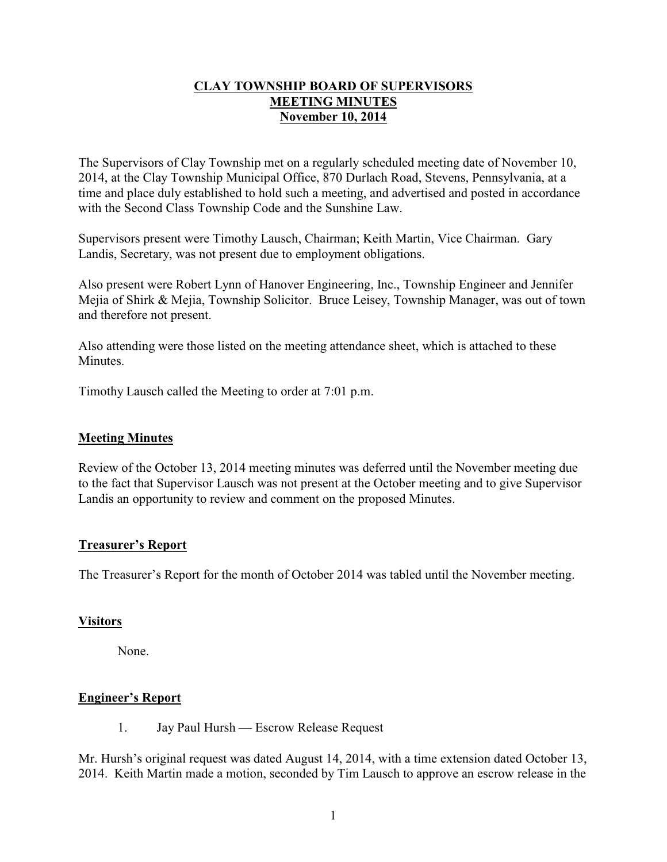### **CLAY TOWNSHIP BOARD OF SUPERVISORS MEETING MINUTES November 10, 2014**

The Supervisors of Clay Township met on a regularly scheduled meeting date of November 10, 2014, at the Clay Township Municipal Office, 870 Durlach Road, Stevens, Pennsylvania, at a time and place duly established to hold such a meeting, and advertised and posted in accordance with the Second Class Township Code and the Sunshine Law.

Supervisors present were Timothy Lausch, Chairman; Keith Martin, Vice Chairman. Gary Landis, Secretary, was not present due to employment obligations.

Also present were Robert Lynn of Hanover Engineering, Inc., Township Engineer and Jennifer Mejia of Shirk & Mejia, Township Solicitor. Bruce Leisey, Township Manager, was out of town and therefore not present.

Also attending were those listed on the meeting attendance sheet, which is attached to these Minutes.

Timothy Lausch called the Meeting to order at 7:01 p.m.

#### **Meeting Minutes**

Review of the October 13, 2014 meeting minutes was deferred until the November meeting due to the fact that Supervisor Lausch was not present at the October meeting and to give Supervisor Landis an opportunity to review and comment on the proposed Minutes.

#### **Treasurer's Report**

The Treasurer's Report for the month of October 2014 was tabled until the November meeting.

### **Visitors**

None.

### **Engineer's Report**

1. Jay Paul Hursh — Escrow Release Request

Mr. Hursh's original request was dated August 14, 2014, with a time extension dated October 13, 2014. Keith Martin made a motion, seconded by Tim Lausch to approve an escrow release in the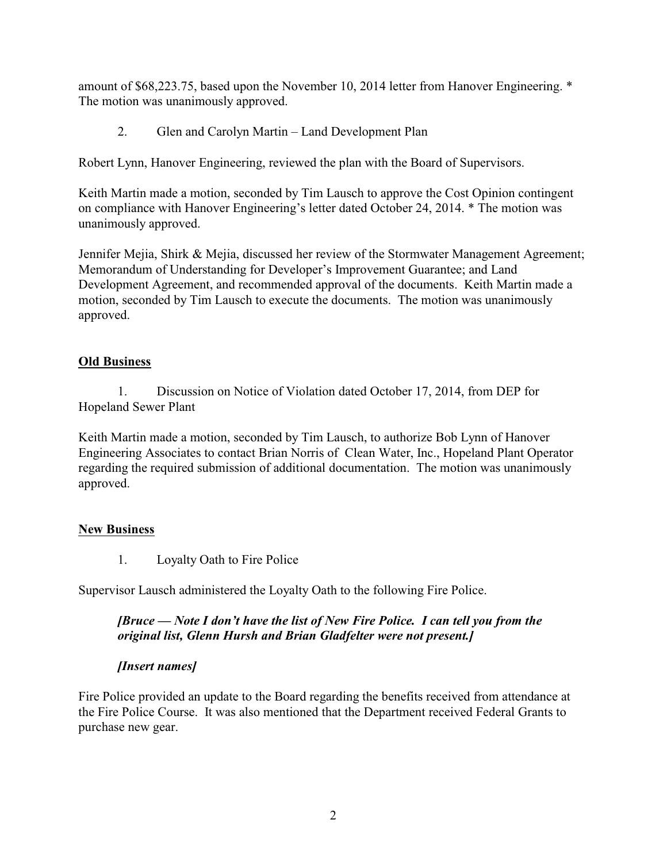amount of \$68,223.75, based upon the November 10, 2014 letter from Hanover Engineering. \* The motion was unanimously approved.

2. Glen and Carolyn Martin – Land Development Plan

Robert Lynn, Hanover Engineering, reviewed the plan with the Board of Supervisors.

Keith Martin made a motion, seconded by Tim Lausch to approve the Cost Opinion contingent on compliance with Hanover Engineering's letter dated October 24, 2014. \* The motion was unanimously approved.

Jennifer Mejia, Shirk & Mejia, discussed her review of the Stormwater Management Agreement; Memorandum of Understanding for Developer's Improvement Guarantee; and Land Development Agreement, and recommended approval of the documents. Keith Martin made a motion, seconded by Tim Lausch to execute the documents. The motion was unanimously approved.

## **Old Business**

1. Discussion on Notice of Violation dated October 17, 2014, from DEP for Hopeland Sewer Plant

Keith Martin made a motion, seconded by Tim Lausch, to authorize Bob Lynn of Hanover Engineering Associates to contact Brian Norris of Clean Water, Inc., Hopeland Plant Operator regarding the required submission of additional documentation. The motion was unanimously approved.

# **New Business**

1. Loyalty Oath to Fire Police

Supervisor Lausch administered the Loyalty Oath to the following Fire Police.

## *[Bruce — Note I don't have the list of New Fire Police. I can tell you from the original list, Glenn Hursh and Brian Gladfelter were not present.]*

### *[Insert names]*

Fire Police provided an update to the Board regarding the benefits received from attendance at the Fire Police Course. It was also mentioned that the Department received Federal Grants to purchase new gear.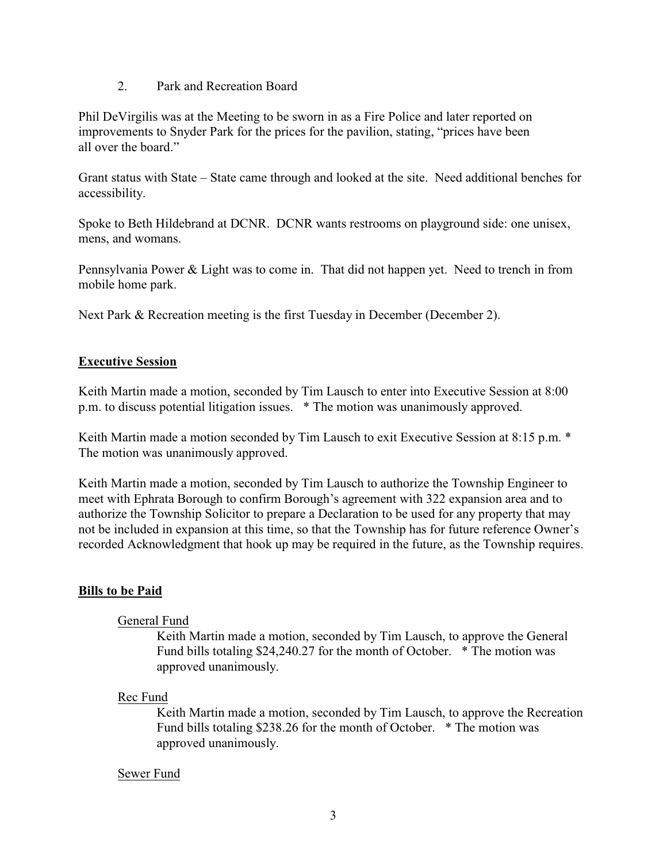#### 2. Park and Recreation Board

Phil DeVirgilis was at the Meeting to be sworn in as a Fire Police and later reported on improvements to Snyder Park for the prices for the pavilion, stating, "prices have been all over the board."

Grant status with State – State came through and looked at the site. Need additional benches for accessibility.

Spoke to Beth Hildebrand at DCNR. DCNR wants restrooms on playground side: one unisex, mens, and womans.

Pennsylvania Power & Light was to come in. That did not happen yet. Need to trench in from mobile home park.

Next Park & Recreation meeting is the first Tuesday in December (December 2).

## **Executive Session**

Keith Martin made a motion, seconded by Tim Lausch to enter into Executive Session at 8:00 p.m. to discuss potential litigation issues. \* The motion was unanimously approved.

Keith Martin made a motion seconded by Tim Lausch to exit Executive Session at 8:15 p.m.  $*$ The motion was unanimously approved.

Keith Martin made a motion, seconded by Tim Lausch to authorize the Township Engineer to meet with Ephrata Borough to confirm Borough's agreement with 322 expansion area and to authorize the Township Solicitor to prepare a Declaration to be used for any property that may not be included in expansion at this time, so that the Township has for future reference Owner's recorded Acknowledgment that hook up may be required in the future, as the Township requires.

### **Bills to be Paid**

### General Fund

Keith Martin made a motion, seconded by Tim Lausch, to approve the General Fund bills totaling \$24,240.27 for the month of October. \* The motion was approved unanimously.

### Rec Fund

Keith Martin made a motion, seconded by Tim Lausch, to approve the Recreation Fund bills totaling \$238.26 for the month of October. \* The motion was approved unanimously.

### Sewer Fund